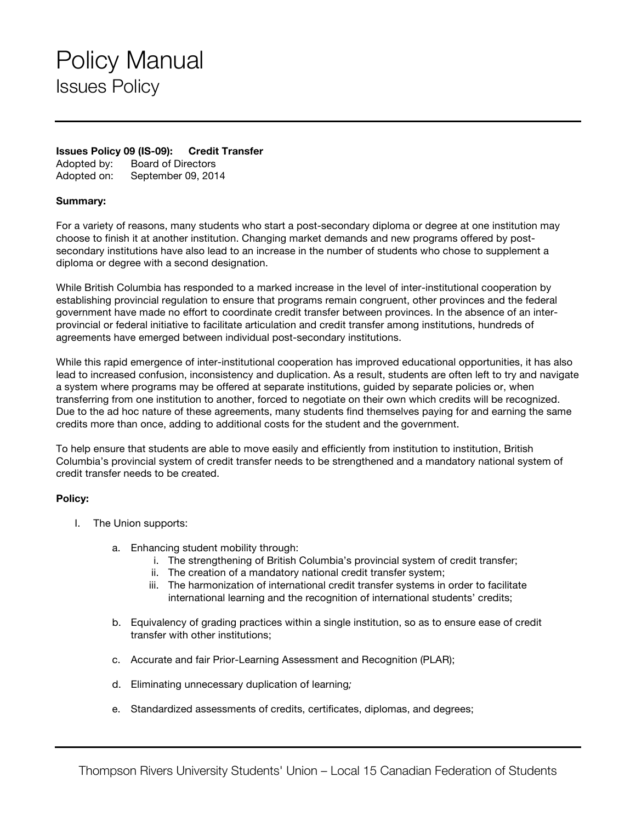## Policy Manual Issues Policy

## **Issues Policy 09 (IS-09): Credit Transfer**

Adopted by: Board of Directors Adopted on: September 09, 2014

## **Summary:**

For a variety of reasons, many students who start a post-secondary diploma or degree at one institution may choose to finish it at another institution. Changing market demands and new programs offered by postsecondary institutions have also lead to an increase in the number of students who chose to supplement a diploma or degree with a second designation.

While British Columbia has responded to a marked increase in the level of inter-institutional cooperation by establishing provincial regulation to ensure that programs remain congruent, other provinces and the federal government have made no effort to coordinate credit transfer between provinces. In the absence of an interprovincial or federal initiative to facilitate articulation and credit transfer among institutions, hundreds of agreements have emerged between individual post-secondary institutions.

While this rapid emergence of inter-institutional cooperation has improved educational opportunities, it has also lead to increased confusion, inconsistency and duplication. As a result, students are often left to try and navigate a system where programs may be offered at separate institutions, guided by separate policies or, when transferring from one institution to another, forced to negotiate on their own which credits will be recognized. Due to the ad hoc nature of these agreements, many students find themselves paying for and earning the same credits more than once, adding to additional costs for the student and the government.

To help ensure that students are able to move easily and efficiently from institution to institution, British Columbia's provincial system of credit transfer needs to be strengthened and a mandatory national system of credit transfer needs to be created.

## **Policy:**

- I. The Union supports:
	- a. Enhancing student mobility through:
		- i. The strengthening of British Columbia's provincial system of credit transfer;
		- ii. The creation of a mandatory national credit transfer system;
		- iii. The harmonization of international credit transfer systems in order to facilitate international learning and the recognition of international students' credits;
	- b. Equivalency of grading practices within a single institution, so as to ensure ease of credit transfer with other institutions;
	- c. Accurate and fair Prior-Learning Assessment and Recognition (PLAR);
	- d. Eliminating unnecessary duplication of learning*;*
	- e. Standardized assessments of credits, certificates, diplomas, and degrees;